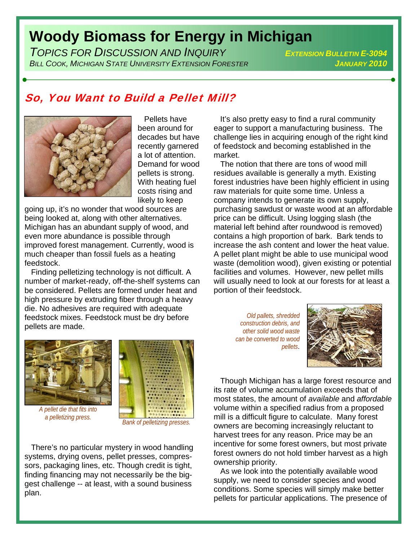## **Woody Biomass for Energy in Michigan**

*TOPICS FOR DISCUSSION AND INQUIRY EXTENSION BULLETIN E-3094 BILL COOK, MICHIGAN STATE UNIVERSITY EXTENSION FORESTER JANUARY 2010*

## So, You Want to Build a Pellet Mill?



 Pellets have been around for decades but have recently garnered a lot of attention. Demand for wood pellets is strong. With heating fuel costs rising and likely to keep

going up, it's no wonder that wood sources are being looked at, along with other alternatives. Michigan has an abundant supply of wood, and even more abundance is possible through improved forest management. Currently, wood is much cheaper than fossil fuels as a heating feedstock.

 Finding pelletizing technology is not difficult. A number of market-ready, off-the-shelf systems can be considered. Pellets are formed under heat and high pressure by extruding fiber through a heavy die. No adhesives are required with adequate feedstock mixes. Feedstock must be dry before pellets are made.



*A pellet die that fits into* 



 There's no particular mystery in wood handling systems, drying ovens, pellet presses, compressors, packaging lines, etc. Though credit is tight, finding financing may not necessarily be the biggest challenge -- at least, with a sound business plan.

 It's also pretty easy to find a rural community eager to support a manufacturing business. The challenge lies in acquiring enough of the right kind of feedstock and becoming established in the market.

 The notion that there are tons of wood mill residues available is generally a myth. Existing forest industries have been highly efficient in using raw materials for quite some time. Unless a company intends to generate its own supply, purchasing sawdust or waste wood at an affordable price can be difficult. Using logging slash (the material left behind after roundwood is removed) contains a high proportion of bark. Bark tends to increase the ash content and lower the heat value. A pellet plant might be able to use municipal wood waste (demolition wood), given existing or potential facilities and volumes. However, new pellet mills will usually need to look at our forests for at least a portion of their feedstock.

*Old pallets, shredded construction debris, and other solid wood waste can be converted to wood pellets*.



 Though Michigan has a large forest resource and its rate of volume accumulation exceeds that of most states, the amount of *available* and *affordable* volume within a specified radius from a proposed mill is a difficult figure to calculate. Many forest owners are becoming increasingly reluctant to harvest trees for any reason. Price may be an incentive for some forest owners, but most private forest owners do not hold timber harvest as a high ownership priority.

 As we look into the potentially available wood supply, we need to consider species and wood conditions. Some species will simply make better pellets for particular applications. The presence of